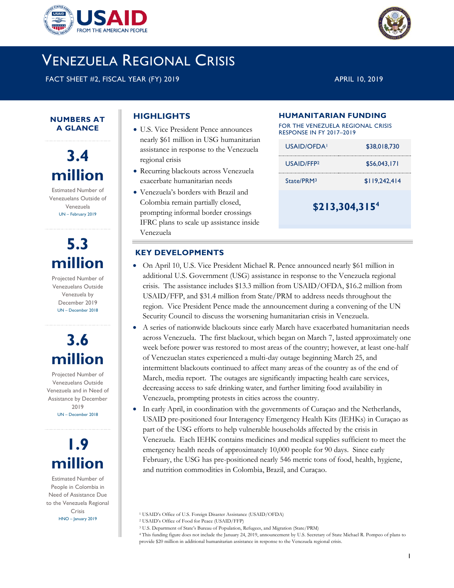

# VENEZUELA REGIONAL CRISIS

FACT SHEET #2, FISCAL YEAR (FY) 2019 APRIL 10, 2019

**NUMBERS AT A GLANCE**

**3.4 million**

Estimated Number of Venezuelans Outside of Venezuela UN – February 2019

# **5.3 million**

Projected Number of Venezuelans Outside Venezuela by December 2019 UN – December 2018

# **3.6 million**

Projected Number of Venezuelans Outside Venezuela and in Need of Assistance by December 2019 UN – December 2018



Estimated Number of People in Colombia in Need of Assistance Due to the Venezuela Regional Crisis HNO – January 2019

# **HIGHLIGHTS**

- U.S. Vice President Pence announces nearly \$61 million in USG humanitarian assistance in response to the Venezuela regional crisis
- Recurring blackouts across Venezuela exacerbate humanitarian needs
- Venezuela's borders with Brazil and Colombia remain partially closed, prompting informal border crossings IFRC plans to scale up assistance inside Venezuela

#### **HUMANITARIAN FUNDING**

FOR THE VENEZUELA REGIONAL CRISIS RESPONSE IN FY 2017–2019

| $$213,304,315^4$       |               |
|------------------------|---------------|
| State/PRM <sup>3</sup> | \$119.242.414 |
| USAID/FFP <sub>2</sub> | \$56,043,171  |
| USAID/OFDA!            | \$38,018,730  |

## **KEY DEVELOPMENTS**

- On April 10, U.S. Vice President Michael R. Pence announced nearly \$61 million in additional U.S. Government (USG) assistance in response to the Venezuela regional crisis. The assistance includes \$13.3 million from USAID/OFDA, \$16.2 million from USAID/FFP, and \$31.4 million from State/PRM to address needs throughout the region. Vice President Pence made the announcement during a convening of the UN Security Council to discuss the worsening humanitarian crisis in Venezuela.
- A series of nationwide blackouts since early March have exacerbated humanitarian needs across Venezuela. The first blackout, which began on March 7, lasted approximately one week before power was restored to most areas of the country; however, at least one-half of Venezuelan states experienced a multi-day outage beginning March 25, and intermittent blackouts continued to affect many areas of the country as of the end of March, media report. The outages are significantly impacting health care services, decreasing access to safe drinking water, and further limiting food availability in Venezuela, prompting protests in cities across the country.
- In early April, in coordination with the governments of Curaçao and the Netherlands, USAID pre-positioned four Interagency Emergency Health Kits (IEHKs) in Curaçao as part of the USG efforts to help vulnerable households affected by the crisis in Venezuela. Each IEHK contains medicines and medical supplies sufficient to meet the emergency health needs of approximately 10,000 people for 90 days. Since early February, the USG has pre-positioned nearly 546 metric tons of food, health, hygiene, and nutrition commodities in Colombia, Brazil, and Curaçao.

<sup>3</sup> U.S. Department of State's Bureau of Population, Refugees, and Migration (State/PRM)

<sup>4</sup> This funding figure does not include the January 24, 2019, announcement by U.S. Secretary of State Michael R. Pompeo of plans to provide \$20 million in additional humanitarian assistance in response to the Venezuela regional crisis.



<sup>1</sup> USAID's Office of U.S. Foreign Disaster Assistance (USAID/OFDA)

<sup>2</sup> USAID's Office of Food for Peace (USAID/FFP)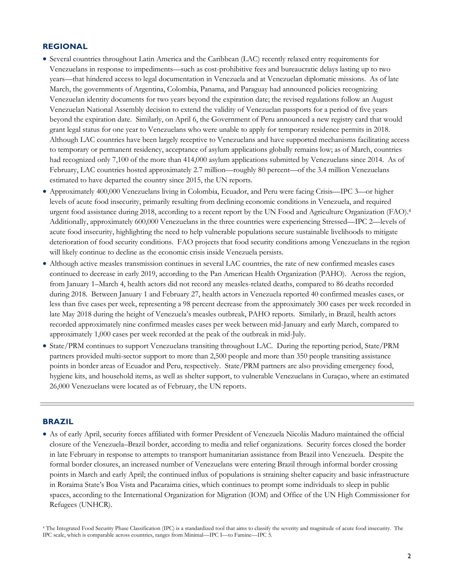## **REGIONAL**

- Several countries throughout Latin America and the Caribbean (LAC) recently relaxed entry requirements for Venezuelans in response to impediments—such as cost-prohibitive fees and bureaucratic delays lasting up to two years—that hindered access to legal documentation in Venezuela and at Venezuelan diplomatic missions. As of late March, the governments of Argentina, Colombia, Panama, and Paraguay had announced policies recognizing Venezuelan identity documents for two years beyond the expiration date; the revised regulations follow an August Venezuelan National Assembly decision to extend the validity of Venezuelan passports for a period of five years beyond the expiration date. Similarly, on April 6, the Government of Peru announced a new registry card that would grant legal status for one year to Venezuelans who were unable to apply for temporary residence permits in 2018. Although LAC countries have been largely receptive to Venezuelans and have supported mechanisms facilitating access to temporary or permanent residency, acceptance of asylum applications globally remains low; as of March, countries had recognized only 7,100 of the more than 414,000 asylum applications submitted by Venezuelans since 2014. As of February, LAC countries hosted approximately 2.7 million—roughly 80 percent—of the 3.4 million Venezuelans estimated to have departed the country since 2015, the UN reports.
- Approximately 400,000 Venezuelans living in Colombia, Ecuador, and Peru were facing Crisis—IPC 3—or higher levels of acute food insecurity, primarily resulting from declining economic conditions in Venezuela, and required urgent food assistance during 2018, according to a recent report by the UN Food and Agriculture Organization (FAO). 4 Additionally, approximately 600,000 Venezuelans in the three countries were experiencing Stressed—IPC 2—levels of acute food insecurity, highlighting the need to help vulnerable populations secure sustainable livelihoods to mitigate deterioration of food security conditions. FAO projects that food security conditions among Venezuelans in the region will likely continue to decline as the economic crisis inside Venezuela persists.
- Although active measles transmission continues in several LAC countries, the rate of new confirmed measles cases continued to decrease in early 2019, according to the Pan American Health Organization (PAHO). Across the region, from January 1–March 4, health actors did not record any measles-related deaths, compared to 86 deaths recorded during 2018. Between January 1 and February 27, health actors in Venezuela reported 40 confirmed measles cases, or less than five cases per week, representing a 98 percent decrease from the approximately 300 cases per week recorded in late May 2018 during the height of Venezuela's measles outbreak, PAHO reports. Similarly, in Brazil, health actors recorded approximately nine confirmed measles cases per week between mid-January and early March, compared to approximately 1,000 cases per week recorded at the peak of the outbreak in mid-July.
- State/PRM continues to support Venezuelans transiting throughout LAC. During the reporting period, State/PRM partners provided multi-sector support to more than 2,500 people and more than 350 people transiting assistance points in border areas of Ecuador and Peru, respectively. State/PRM partners are also providing emergency food, hygiene kits, and household items, as well as shelter support, to vulnerable Venezuelans in Curaçao, where an estimated 26,000 Venezuelans were located as of February, the UN reports.

#### **BRAZIL**

 As of early April, security forces affiliated with former President of Venezuela Nicolás Maduro maintained the official closure of the Venezuela–Brazil border, according to media and relief organizations. Security forces closed the border in late February in response to attempts to transport humanitarian assistance from Brazil into Venezuela. Despite the formal border closures, an increased number of Venezuelans were entering Brazil through informal border crossing points in March and early April; the continued influx of populations is straining shelter capacity and basic infrastructure in Roraima State's Boa Vista and Pacaraima cities, which continues to prompt some individuals to sleep in public spaces, according to the International Organization for Migration (IOM) and Office of the UN High Commissioner for Refugees (UNHCR).

<sup>4</sup> The Integrated Food Security Phase Classification (IPC) is a standardized tool that aims to classify the severity and magnitude of acute food insecurity. The IPC scale, which is comparable across countries, ranges from Minimal—IPC I—to Famine—IPC 5.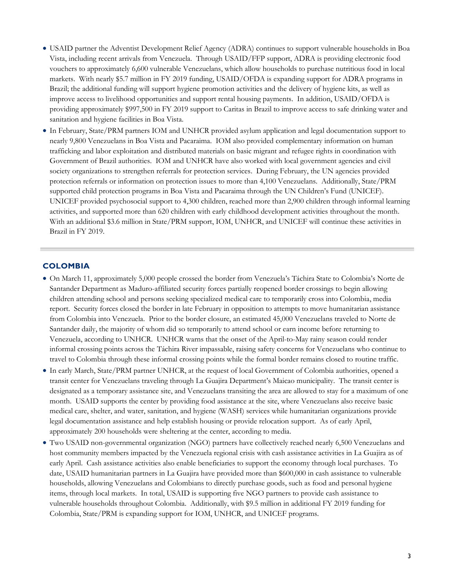- USAID partner the Adventist Development Relief Agency (ADRA) continues to support vulnerable households in Boa Vista, including recent arrivals from Venezuela. Through USAID/FFP support, ADRA is providing electronic food vouchers to approximately 6,600 vulnerable Venezuelans, which allow households to purchase nutritious food in local markets. With nearly \$5.7 million in FY 2019 funding, USAID/OFDA is expanding support for ADRA programs in Brazil; the additional funding will support hygiene promotion activities and the delivery of hygiene kits, as well as improve access to livelihood opportunities and support rental housing payments. In addition, USAID/OFDA is providing approximately \$997,500 in FY 2019 support to Caritas in Brazil to improve access to safe drinking water and sanitation and hygiene facilities in Boa Vista.
- In February, State/PRM partners IOM and UNHCR provided asylum application and legal documentation support to nearly 9,800 Venezuelans in Boa Vista and Pacaraima. IOM also provided complementary information on human trafficking and labor exploitation and distributed materials on basic migrant and refugee rights in coordination with Government of Brazil authorities. IOM and UNHCR have also worked with local government agencies and civil society organizations to strengthen referrals for protection services. During February, the UN agencies provided protection referrals or information on protection issues to more than 4,100 Venezuelans. Additionally, State/PRM supported child protection programs in Boa Vista and Pacaraima through the UN Children's Fund (UNICEF). UNICEF provided psychosocial support to 4,300 children, reached more than 2,900 children through informal learning activities, and supported more than 620 children with early childhood development activities throughout the month. With an additional \$3.6 million in State/PRM support, IOM, UNHCR, and UNICEF will continue these activities in Brazil in FY 2019.

#### **COLOMBIA**

- On March 11, approximately 5,000 people crossed the border from Venezuela's Táchira State to Colombia's Norte de Santander Department as Maduro-affiliated security forces partially reopened border crossings to begin allowing children attending school and persons seeking specialized medical care to temporarily cross into Colombia, media report. Security forces closed the border in late February in opposition to attempts to move humanitarian assistance from Colombia into Venezuela. Prior to the border closure, an estimated 45,000 Venezuelans traveled to Norte de Santander daily, the majority of whom did so temporarily to attend school or earn income before returning to Venezuela, according to UNHCR. UNHCR warns that the onset of the April-to-May rainy season could render informal crossing points across the Táchira River impassable, raising safety concerns for Venezuelans who continue to travel to Colombia through these informal crossing points while the formal border remains closed to routine traffic.
- In early March, State/PRM partner UNHCR, at the request of local Government of Colombia authorities, opened a transit center for Venezuelans traveling through La Guajira Department's Maicao municipality. The transit center is designated as a temporary assistance site, and Venezuelans transiting the area are allowed to stay for a maximum of one month. USAID supports the center by providing food assistance at the site, where Venezuelans also receive basic medical care, shelter, and water, sanitation, and hygiene (WASH) services while humanitarian organizations provide legal documentation assistance and help establish housing or provide relocation support. As of early April, approximately 200 households were sheltering at the center, according to media.
- Two USAID non-governmental organization (NGO) partners have collectively reached nearly 6,500 Venezuelans and host community members impacted by the Venezuela regional crisis with cash assistance activities in La Guajira as of early April. Cash assistance activities also enable beneficiaries to support the economy through local purchases. To date, USAID humanitarian partners in La Guajira have provided more than \$600,000 in cash assistance to vulnerable households, allowing Venezuelans and Colombians to directly purchase goods, such as food and personal hygiene items, through local markets. In total, USAID is supporting five NGO partners to provide cash assistance to vulnerable households throughout Colombia. Additionally, with \$9.5 million in additional FY 2019 funding for Colombia, State/PRM is expanding support for IOM, UNHCR, and UNICEF programs.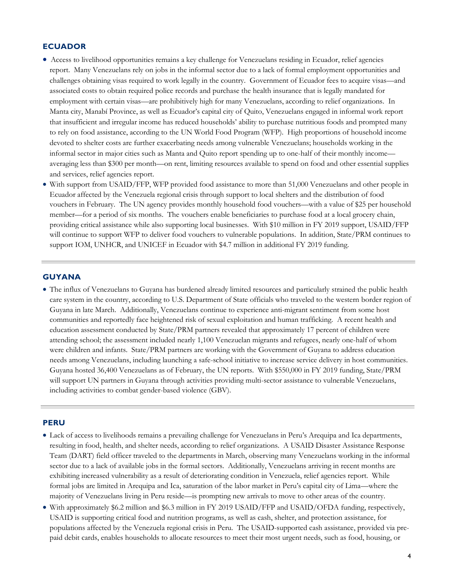#### **ECUADOR**

- Access to livelihood opportunities remains a key challenge for Venezuelans residing in Ecuador, relief agencies report. Many Venezuelans rely on jobs in the informal sector due to a lack of formal employment opportunities and challenges obtaining visas required to work legally in the country. Government of Ecuador fees to acquire visas—and associated costs to obtain required police records and purchase the health insurance that is legally mandated for employment with certain visas—are prohibitively high for many Venezuelans, according to relief organizations. In Manta city, Manabí Province, as well as Ecuador's capital city of Quito, Venezuelans engaged in informal work report that insufficient and irregular income has reduced households' ability to purchase nutritious foods and prompted many to rely on food assistance, according to the UN World Food Program (WFP). High proportions of household income devoted to shelter costs are further exacerbating needs among vulnerable Venezuelans; households working in the informal sector in major cities such as Manta and Quito report spending up to one-half of their monthly income averaging less than \$300 per month—on rent, limiting resources available to spend on food and other essential supplies and services, relief agencies report.
- With support from USAID/FFP, WFP provided food assistance to more than 51,000 Venezuelans and other people in Ecuador affected by the Venezuela regional crisis through support to local shelters and the distribution of food vouchers in February. The UN agency provides monthly household food vouchers—with a value of \$25 per household member—for a period of six months. The vouchers enable beneficiaries to purchase food at a local grocery chain, providing critical assistance while also supporting local businesses. With \$10 million in FY 2019 support, USAID/FFP will continue to support WFP to deliver food vouchers to vulnerable populations. In addition, State/PRM continues to support IOM, UNHCR, and UNICEF in Ecuador with \$4.7 million in additional FY 2019 funding.

#### **GUYANA**

 The influx of Venezuelans to Guyana has burdened already limited resources and particularly strained the public health care system in the country, according to U.S. Department of State officials who traveled to the western border region of Guyana in late March. Additionally, Venezuelans continue to experience anti-migrant sentiment from some host communities and reportedly face heightened risk of sexual exploitation and human trafficking. A recent health and education assessment conducted by State/PRM partners revealed that approximately 17 percent of children were attending school; the assessment included nearly 1,100 Venezuelan migrants and refugees, nearly one-half of whom were children and infants. State/PRM partners are working with the Government of Guyana to address education needs among Venezuelans, including launching a safe-school initiative to increase service delivery in host communities. Guyana hosted 36,400 Venezuelans as of February, the UN reports. With \$550,000 in FY 2019 funding, State/PRM will support UN partners in Guyana through activities providing multi-sector assistance to vulnerable Venezuelans, including activities to combat gender-based violence (GBV).

#### **PERU**

- Lack of access to livelihoods remains a prevailing challenge for Venezuelans in Peru's Arequipa and Ica departments, resulting in food, health, and shelter needs, according to relief organizations. A USAID Disaster Assistance Response Team (DART) field officer traveled to the departments in March, observing many Venezuelans working in the informal sector due to a lack of available jobs in the formal sectors. Additionally, Venezuelans arriving in recent months are exhibiting increased vulnerability as a result of deteriorating condition in Venezuela, relief agencies report. While formal jobs are limited in Arequipa and Ica, saturation of the labor market in Peru's capital city of Lima—where the majority of Venezuelans living in Peru reside—is prompting new arrivals to move to other areas of the country.
- With approximately \$6.2 million and \$6.3 million in FY 2019 USAID/FFP and USAID/OFDA funding, respectively, USAID is supporting critical food and nutrition programs, as well as cash, shelter, and protection assistance, for populations affected by the Venezuela regional crisis in Peru. The USAID-supported cash assistance, provided via prepaid debit cards, enables households to allocate resources to meet their most urgent needs, such as food, housing, or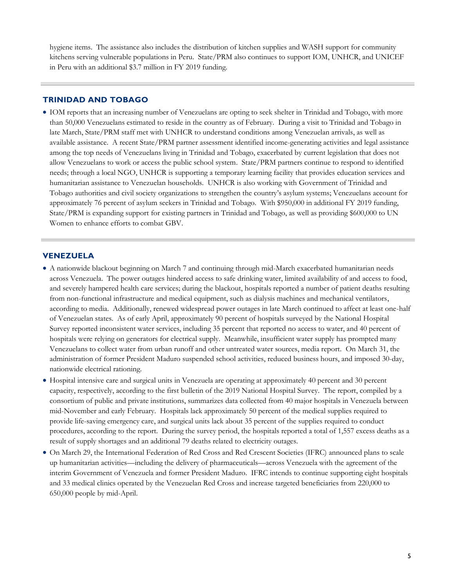hygiene items. The assistance also includes the distribution of kitchen supplies and WASH support for community kitchens serving vulnerable populations in Peru. State/PRM also continues to support IOM, UNHCR, and UNICEF in Peru with an additional \$3.7 million in FY 2019 funding.

### **TRINIDAD AND TOBAGO**

 IOM reports that an increasing number of Venezuelans are opting to seek shelter in Trinidad and Tobago, with more than 50,000 Venezuelans estimated to reside in the country as of February. During a visit to Trinidad and Tobago in late March, State/PRM staff met with UNHCR to understand conditions among Venezuelan arrivals, as well as available assistance. A recent State/PRM partner assessment identified income-generating activities and legal assistance among the top needs of Venezuelans living in Trinidad and Tobago, exacerbated by current legislation that does not allow Venezuelans to work or access the public school system. State/PRM partners continue to respond to identified needs; through a local NGO, UNHCR is supporting a temporary learning facility that provides education services and humanitarian assistance to Venezuelan households. UNHCR is also working with Government of Trinidad and Tobago authorities and civil society organizations to strengthen the country's asylum systems; Venezuelans account for approximately 76 percent of asylum seekers in Trinidad and Tobago. With \$950,000 in additional FY 2019 funding, State/PRM is expanding support for existing partners in Trinidad and Tobago, as well as providing \$600,000 to UN Women to enhance efforts to combat GBV.

#### **VENEZUELA**

- A nationwide blackout beginning on March 7 and continuing through mid-March exacerbated humanitarian needs across Venezuela. The power outages hindered access to safe drinking water, limited availability of and access to food, and severely hampered health care services; during the blackout, hospitals reported a number of patient deaths resulting from non-functional infrastructure and medical equipment, such as dialysis machines and mechanical ventilators, according to media. Additionally, renewed widespread power outages in late March continued to affect at least one-half of Venezuelan states. As of early April, approximately 90 percent of hospitals surveyed by the National Hospital Survey reported inconsistent water services, including 35 percent that reported no access to water, and 40 percent of hospitals were relying on generators for electrical supply. Meanwhile, insufficient water supply has prompted many Venezuelans to collect water from urban runoff and other untreated water sources, media report. On March 31, the administration of former President Maduro suspended school activities, reduced business hours, and imposed 30-day, nationwide electrical rationing.
- Hospital intensive care and surgical units in Venezuela are operating at approximately 40 percent and 30 percent capacity, respectively, according to the first bulletin of the 2019 National Hospital Survey. The report, compiled by a consortium of public and private institutions, summarizes data collected from 40 major hospitals in Venezuela between mid-November and early February. Hospitals lack approximately 50 percent of the medical supplies required to provide life-saving emergency care, and surgical units lack about 35 percent of the supplies required to conduct procedures, according to the report. During the survey period, the hospitals reported a total of 1,557 excess deaths as a result of supply shortages and an additional 79 deaths related to electricity outages.
- On March 29, the International Federation of Red Cross and Red Crescent Societies (IFRC) announced plans to scale up humanitarian activities—including the delivery of pharmaceuticals—across Venezuela with the agreement of the interim Government of Venezuela and former President Maduro. IFRC intends to continue supporting eight hospitals and 33 medical clinics operated by the Venezuelan Red Cross and increase targeted beneficiaries from 220,000 to 650,000 people by mid-April.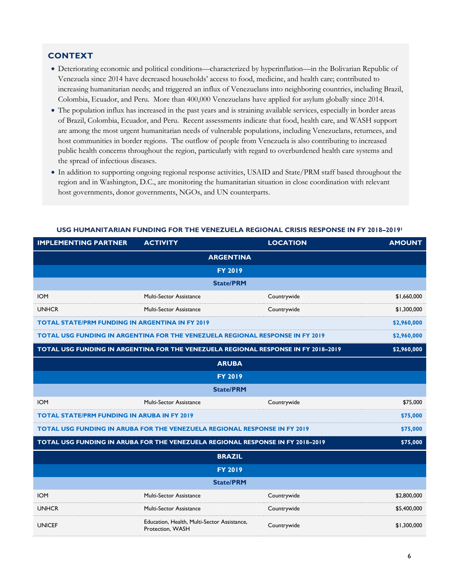### **CONTEXT**

- Deteriorating economic and political conditions—characterized by hyperinflation—in the Bolivarian Republic of Venezuela since 2014 have decreased households' access to food, medicine, and health care; contributed to increasing humanitarian needs; and triggered an influx of Venezuelans into neighboring countries, including Brazil, Colombia, Ecuador, and Peru. More than 400,000 Venezuelans have applied for asylum globally since 2014.
- The population influx has increased in the past years and is straining available services, especially in border areas of Brazil, Colombia, Ecuador, and Peru. Recent assessments indicate that food, health care, and WASH support are among the most urgent humanitarian needs of vulnerable populations, including Venezuelans, returnees, and host communities in border regions. The outflow of people from Venezuela is also contributing to increased public health concerns throughout the region, particularly with regard to overburdened health care systems and the spread of infectious diseases.
- In addition to supporting ongoing regional response activities, USAID and State/PRM staff based throughout the region and in Washington, D.C., are monitoring the humanitarian situation in close coordination with relevant host governments, donor governments, NGOs, and UN counterparts.

| <b>IMPLEMENTING PARTNER</b>                                                                | <b>ACTIVITY</b>                                                                      | <b>LOCATION</b> | <b>AMOUNT</b> |
|--------------------------------------------------------------------------------------------|--------------------------------------------------------------------------------------|-----------------|---------------|
| <b>ARGENTINA</b>                                                                           |                                                                                      |                 |               |
|                                                                                            | <b>FY 2019</b>                                                                       |                 |               |
|                                                                                            | <b>State/PRM</b>                                                                     |                 |               |
| <b>IOM</b>                                                                                 | Multi-Sector Assistance                                                              | Countrywide     | \$1,660,000   |
| <b>UNHCR</b>                                                                               | Multi-Sector Assistance                                                              | Countrywide     | \$1,300,000   |
| <b>TOTAL STATE/PRM FUNDING IN ARGENTINA IN FY 2019</b>                                     |                                                                                      |                 | \$2,960,000   |
|                                                                                            | <b>TOTAL USG FUNDING IN ARGENTINA FOR THE VENEZUELA REGIONAL RESPONSE IN FY 2019</b> |                 | \$2,960,000   |
|                                                                                            | TOTAL USG FUNDING IN ARGENTINA FOR THE VENEZUELA REGIONAL RESPONSE IN FY 2018-2019   |                 | \$2,960,000   |
|                                                                                            | <b>ARUBA</b>                                                                         |                 |               |
|                                                                                            | <b>FY 2019</b>                                                                       |                 |               |
|                                                                                            | <b>State/PRM</b>                                                                     |                 |               |
| <b>IOM</b>                                                                                 | Multi-Sector Assistance                                                              | Countrywide     | \$75,000      |
| <b>TOTAL STATE/PRM FUNDING IN ARUBA IN FY 2019</b>                                         |                                                                                      |                 | \$75,000      |
|                                                                                            | TOTAL USG FUNDING IN ARUBA FOR THE VENEZUELA REGIONAL RESPONSE IN FY 2019            |                 | \$75,000      |
| TOTAL USG FUNDING IN ARUBA FOR THE VENEZUELA REGIONAL RESPONSE IN FY 2018-2019<br>\$75,000 |                                                                                      |                 |               |
|                                                                                            | <b>BRAZIL</b>                                                                        |                 |               |
|                                                                                            | <b>FY 2019</b>                                                                       |                 |               |
|                                                                                            | <b>State/PRM</b>                                                                     |                 |               |
| <b>IOM</b>                                                                                 | Multi-Sector Assistance                                                              | Countrywide     | \$2,800,000   |
| <b>UNHCR</b>                                                                               | Multi-Sector Assistance                                                              | Countrywide     | \$5,400,000   |
| <b>UNICEF</b>                                                                              | Education, Health, Multi-Sector Assistance,<br>Protection, WASH                      | Countrywide     | \$1,300,000   |

#### **USG HUMANITARIAN FUNDING FOR THE VENEZUELA REGIONAL CRISIS RESPONSE IN FY 2018–2019<sup>1</sup>**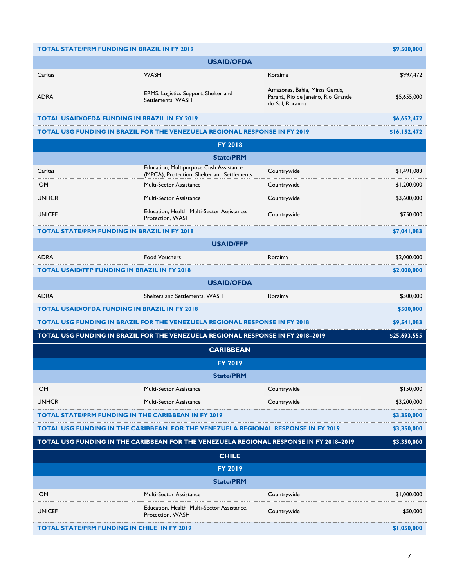| <b>TOTAL STATE/PRM FUNDING IN BRAZIL IN FY 2019</b>                               |                                                                                        |                                                                                         | \$9,500,000  |
|-----------------------------------------------------------------------------------|----------------------------------------------------------------------------------------|-----------------------------------------------------------------------------------------|--------------|
| <b>USAID/OFDA</b>                                                                 |                                                                                        |                                                                                         |              |
| Caritas                                                                           | <b>WASH</b>                                                                            | Roraima                                                                                 | \$997,472    |
| <b>ADRA</b>                                                                       | ERMS, Logistics Support, Shelter and<br>Settlements, WASH                              | Amazonas, Bahia, Minas Gerais,<br>Paraná, Rio de Janeiro, Rio Grande<br>do Sul, Roraima | \$5,655,000  |
| <b>TOTAL USAID/OFDA FUNDING IN BRAZIL IN FY 2019</b>                              |                                                                                        |                                                                                         | \$6,652,472  |
|                                                                                   | <b>TOTAL USG FUNDING IN BRAZIL FOR THE VENEZUELA REGIONAL RESPONSE IN FY 2019</b>      |                                                                                         | \$16,152,472 |
|                                                                                   | <b>FY 2018</b>                                                                         |                                                                                         |              |
|                                                                                   | <b>State/PRM</b>                                                                       |                                                                                         |              |
| Caritas                                                                           | Education, Multipurpose Cash Assistance<br>(MPCA), Protection, Shelter and Settlements | Countrywide                                                                             | \$1,491,083  |
| <b>IOM</b>                                                                        | Multi-Sector Assistance                                                                | Countrywide                                                                             | \$1,200,000  |
| <b>UNHCR</b>                                                                      | <b>Multi-Sector Assistance</b>                                                         | Countrywide                                                                             | \$3,600,000  |
| <b>UNICEF</b>                                                                     | Education, Health, Multi-Sector Assistance,<br>Protection, WASH                        | Countrywide                                                                             | \$750,000    |
| <b>TOTAL STATE/PRM FUNDING IN BRAZIL IN FY 2018</b>                               |                                                                                        |                                                                                         | \$7,041,083  |
|                                                                                   | <b>USAID/FFP</b>                                                                       |                                                                                         |              |
| <b>ADRA</b>                                                                       | <b>Food Vouchers</b>                                                                   | Roraima                                                                                 | \$2,000,000  |
| <b>TOTAL USAID/FFP FUNDING IN BRAZIL IN FY 2018</b>                               |                                                                                        |                                                                                         | \$2,000,000  |
|                                                                                   | <b>USAID/OFDA</b>                                                                      |                                                                                         |              |
| <b>ADRA</b>                                                                       | Shelters and Settlements, WASH                                                         | Roraima                                                                                 | \$500,000    |
| <b>TOTAL USAID/OFDA FUNDING IN BRAZIL IN FY 2018</b>                              |                                                                                        |                                                                                         | \$500,000    |
|                                                                                   | <b>TOTAL USG FUNDING IN BRAZIL FOR THE VENEZUELA REGIONAL RESPONSE IN FY 2018</b>      |                                                                                         | \$9,541,083  |
|                                                                                   | TOTAL USG FUNDING IN BRAZIL FOR THE VENEZUELA REGIONAL RESPONSE IN FY 2018-2019        |                                                                                         | \$25,693,555 |
|                                                                                   | <b>CARIBBEAN</b>                                                                       |                                                                                         |              |
|                                                                                   | <b>FY 2019</b>                                                                         |                                                                                         |              |
|                                                                                   | <b>State/PRM</b>                                                                       |                                                                                         |              |
| <b>IOM</b>                                                                        | <b>Multi-Sector Assistance</b>                                                         | Countrywide                                                                             | \$150,000    |
| <b>UNHCR</b>                                                                      | <b>Multi-Sector Assistance</b>                                                         | Countrywide                                                                             | \$3,200,000  |
| <b>TOTAL STATE/PRM FUNDING IN THE CARIBBEAN IN FY 2019</b>                        |                                                                                        |                                                                                         | \$3,350,000  |
| TOTAL USG FUNDING IN THE CARIBBEAN FOR THE VENEZUELA REGIONAL RESPONSE IN FY 2019 |                                                                                        |                                                                                         | \$3,350,000  |
|                                                                                   | TOTAL USG FUNDING IN THE CARIBBEAN FOR THE VENEZUELA REGIONAL RESPONSE IN FY 2018-2019 |                                                                                         | \$3,350,000  |
|                                                                                   | <b>CHILE</b>                                                                           |                                                                                         |              |
|                                                                                   | <b>FY 2019</b>                                                                         |                                                                                         |              |
|                                                                                   | <b>State/PRM</b>                                                                       |                                                                                         |              |
| <b>IOM</b>                                                                        | Multi-Sector Assistance                                                                | Countrywide                                                                             | \$1,000,000  |
| <b>UNICEF</b>                                                                     | Education, Health, Multi-Sector Assistance,<br>Protection, WASH                        | Countrywide                                                                             | \$50,000     |
| <b>TOTAL STATE/PRM FUNDING IN CHILE IN FY 2019</b>                                |                                                                                        |                                                                                         | \$1,050,000  |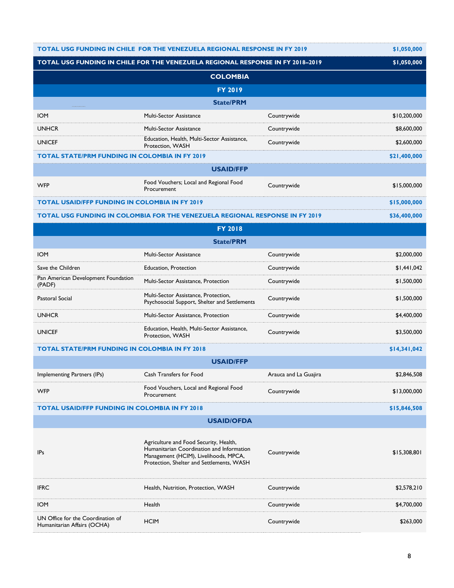| <b>TOTAL USG FUNDING IN CHILE FOR THE VENEZUELA REGIONAL RESPONSE IN FY 2019</b> |                                                                                                                                                                           | \$1,050,000           |              |
|----------------------------------------------------------------------------------|---------------------------------------------------------------------------------------------------------------------------------------------------------------------------|-----------------------|--------------|
|                                                                                  | TOTAL USG FUNDING IN CHILE FOR THE VENEZUELA REGIONAL RESPONSE IN FY 2018-2019                                                                                            |                       | \$1,050,000  |
|                                                                                  | <b>COLOMBIA</b>                                                                                                                                                           |                       |              |
|                                                                                  | <b>FY 2019</b>                                                                                                                                                            |                       |              |
|                                                                                  | <b>State/PRM</b>                                                                                                                                                          |                       |              |
| <b>IOM</b>                                                                       | Multi-Sector Assistance                                                                                                                                                   | Countrywide           | \$10,200,000 |
| <b>UNHCR</b>                                                                     | <b>Multi-Sector Assistance</b>                                                                                                                                            | Countrywide           | \$8,600,000  |
| <b>UNICEF</b>                                                                    | Education, Health, Multi-Sector Assistance,<br>Protection, WASH                                                                                                           | Countrywide           | \$2,600,000  |
| <b>TOTAL STATE/PRM FUNDING IN COLOMBIA IN FY 2019</b>                            |                                                                                                                                                                           |                       | \$21,400,000 |
|                                                                                  | <b>USAID/FFP</b>                                                                                                                                                          |                       |              |
| <b>WFP</b>                                                                       | Food Vouchers; Local and Regional Food<br>Procurement                                                                                                                     | Countrywide           | \$15,000,000 |
| <b>TOTAL USAID/FFP FUNDING IN COLOMBIA IN FY 2019</b>                            |                                                                                                                                                                           |                       | \$15,000,000 |
|                                                                                  | TOTAL USG FUNDING IN COLOMBIA FOR THE VENEZUELA REGIONAL RESPONSE IN FY 2019                                                                                              |                       | \$36,400,000 |
|                                                                                  | <b>FY 2018</b>                                                                                                                                                            |                       |              |
|                                                                                  | <b>State/PRM</b>                                                                                                                                                          |                       |              |
| <b>IOM</b>                                                                       | Multi-Sector Assistance                                                                                                                                                   | Countrywide           | \$2,000,000  |
| Save the Children                                                                | <b>Education, Protection</b>                                                                                                                                              | Countrywide           | \$1,441,042  |
| Pan American Development Foundation<br>(PADF)                                    | Multi-Sector Assistance, Protection                                                                                                                                       | Countrywide           | \$1,500,000  |
| Pastoral Social                                                                  | Multi-Sector Assistance, Protection,<br>Psychosocial Support, Shelter and Settlements                                                                                     | Countrywide           | \$1,500,000  |
| <b>UNHCR</b>                                                                     | Multi-Sector Assistance, Protection                                                                                                                                       | Countrywide           | \$4,400,000  |
| <b>UNICEF</b>                                                                    | Education, Health, Multi-Sector Assistance,<br>Protection, WASH                                                                                                           | Countrywide           | \$3,500,000  |
| <b>TOTAL STATE/PRM FUNDING IN COLOMBIA IN FY 2018</b>                            |                                                                                                                                                                           |                       | \$14,341,042 |
|                                                                                  | <b>USAID/FFP</b>                                                                                                                                                          |                       |              |
| Implementing Partners (IPs)                                                      | Cash Transfers for Food                                                                                                                                                   | Arauca and La Guajira | \$2,846,508  |
| <b>WFP</b>                                                                       | Food Vouchers, Local and Regional Food<br>Procurement                                                                                                                     | Countrywide           | \$13,000,000 |
| <b>TOTAL USAID/FFP FUNDING IN COLOMBIA IN FY 2018</b>                            |                                                                                                                                                                           |                       | \$15,846,508 |
| <b>USAID/OFDA</b>                                                                |                                                                                                                                                                           |                       |              |
| <b>IPs</b>                                                                       | Agriculture and Food Security, Health,<br>Humanitarian Coordination and Information<br>Management (HCIM), Livelihoods, MPCA,<br>Protection, Shelter and Settlements, WASH | Countrywide           | \$15,308,801 |
| <b>IFRC</b>                                                                      | Health, Nutrition, Protection, WASH                                                                                                                                       | Countrywide           | \$2,578,210  |
| <b>IOM</b>                                                                       | Health                                                                                                                                                                    | Countrywide           | \$4,700,000  |
| UN Office for the Coordination of<br>Humanitarian Affairs (OCHA)                 | <b>HCIM</b>                                                                                                                                                               | Countrywide           | \$263,000    |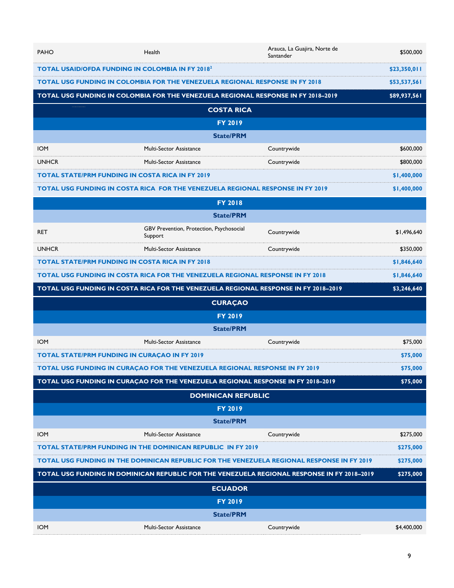| <b>PAHO</b>                                                                         | Health                                                                                      | Arauca, La Guajira, Norte de<br>Santander                                           | \$500,000    |
|-------------------------------------------------------------------------------------|---------------------------------------------------------------------------------------------|-------------------------------------------------------------------------------------|--------------|
| <b>TOTAL USAID/OFDA FUNDING IN COLOMBIA IN FY 20182</b>                             |                                                                                             | \$23,350,011                                                                        |              |
| <b>TOTAL USG FUNDING IN COLOMBIA FOR THE VENEZUELA REGIONAL RESPONSE IN FY 2018</b> |                                                                                             | \$53,537,561                                                                        |              |
| TOTAL USG FUNDING IN COLOMBIA FOR THE VENEZUELA REGIONAL RESPONSE IN FY 2018-2019   |                                                                                             |                                                                                     | \$89,937,561 |
|                                                                                     | <b>COSTA RICA</b>                                                                           |                                                                                     |              |
|                                                                                     | <b>FY 2019</b>                                                                              |                                                                                     |              |
|                                                                                     | <b>State/PRM</b>                                                                            |                                                                                     |              |
| <b>IOM</b>                                                                          | Multi-Sector Assistance                                                                     | Countrywide                                                                         | \$600,000    |
| <b>UNHCR</b>                                                                        | <b>Multi-Sector Assistance</b>                                                              | Countrywide                                                                         | \$800,000    |
| <b>TOTAL STATE/PRM FUNDING IN COSTA RICA IN FY 2019</b>                             |                                                                                             |                                                                                     | \$1,400,000  |
|                                                                                     | TOTAL USG FUNDING IN COSTA RICA FOR THE VENEZUELA REGIONAL RESPONSE IN FY 2019              |                                                                                     | \$1,400,000  |
|                                                                                     | <b>FY 2018</b>                                                                              |                                                                                     |              |
|                                                                                     | <b>State/PRM</b>                                                                            |                                                                                     |              |
| <b>RET</b>                                                                          | GBV Prevention, Protection, Psychosocial<br>Support                                         | Countrywide                                                                         | \$1,496,640  |
| <b>UNHCR</b>                                                                        | <b>Multi-Sector Assistance</b>                                                              | Countrywide                                                                         | \$350,000    |
| <b>TOTAL STATE/PRM FUNDING IN COSTA RICA IN FY 2018</b>                             |                                                                                             |                                                                                     | \$1,846,640  |
|                                                                                     | <b>TOTAL USG FUNDING IN COSTA RICA FOR THE VENEZUELA REGIONAL RESPONSE IN FY 2018</b>       |                                                                                     | \$1,846,640  |
|                                                                                     |                                                                                             |                                                                                     |              |
|                                                                                     |                                                                                             | TOTAL USG FUNDING IN COSTA RICA FOR THE VENEZUELA REGIONAL RESPONSE IN FY 2018-2019 | \$3,246,640  |
|                                                                                     | <b>CURAÇAO</b>                                                                              |                                                                                     |              |
|                                                                                     | <b>FY 2019</b>                                                                              |                                                                                     |              |
|                                                                                     | <b>State/PRM</b>                                                                            |                                                                                     |              |
| <b>IOM</b>                                                                          | <b>Multi-Sector Assistance</b>                                                              | Countrywide                                                                         | \$75,000     |
| <b>TOTAL STATE/PRM FUNDING IN CURAÇAO IN FY 2019</b>                                |                                                                                             |                                                                                     | \$75,000     |
|                                                                                     | <b>TOTAL USG FUNDING IN CURAÇAO FOR THE VENEZUELA REGIONAL RESPONSE IN FY 2019</b>          |                                                                                     | \$75,000     |
|                                                                                     | TOTAL USG FUNDING IN CURAÇAO FOR THE VENEZUELA REGIONAL RESPONSE IN FY 2018-2019            |                                                                                     | \$75,000     |
|                                                                                     | <b>DOMINICAN REPUBLIC</b>                                                                   |                                                                                     |              |
|                                                                                     | <b>FY 2019</b>                                                                              |                                                                                     |              |
|                                                                                     | <b>State/PRM</b>                                                                            |                                                                                     |              |
| <b>IOM</b>                                                                          | <b>Multi-Sector Assistance</b>                                                              | Countrywide                                                                         | \$275,000    |
|                                                                                     | <b>TOTAL STATE/PRM FUNDING IN THE DOMINICAN REPUBLIC IN FY 2019</b>                         |                                                                                     | \$275,000    |
|                                                                                     | TOTAL USG FUNDING IN THE DOMINICAN REPUBLIC FOR THE VENEZUELA REGIONAL RESPONSE IN FY 2019  |                                                                                     | \$275,000    |
|                                                                                     | TOTAL USG FUNDING IN DOMINICAN REPUBLIC FOR THE VENEZUELA REGIONAL RESPONSE IN FY 2018-2019 |                                                                                     | \$275,000    |
|                                                                                     | <b>ECUADOR</b>                                                                              |                                                                                     |              |
|                                                                                     | <b>FY 2019</b>                                                                              |                                                                                     |              |
|                                                                                     | <b>State/PRM</b>                                                                            |                                                                                     |              |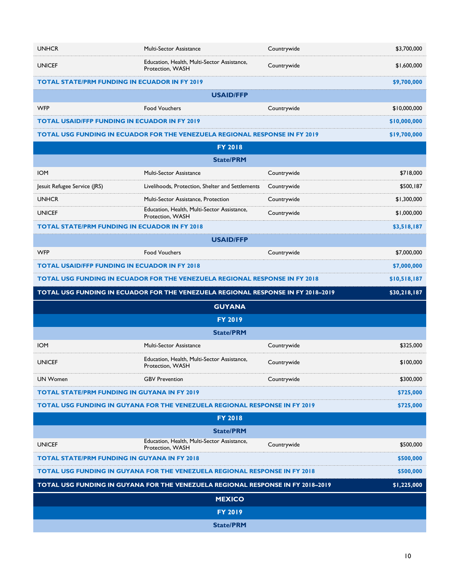| <b>UNHCR</b>                                         | Multi-Sector Assistance                                                            | Countrywide | \$3,700,000  |
|------------------------------------------------------|------------------------------------------------------------------------------------|-------------|--------------|
| <b>UNICEF</b>                                        | Education, Health, Multi-Sector Assistance,<br>Protection, WASH                    | Countrywide | \$1,600,000  |
| <b>TOTAL STATE/PRM FUNDING IN ECUADOR IN FY 2019</b> |                                                                                    |             | \$9,700,000  |
|                                                      | <b>USAID/FFP</b>                                                                   |             |              |
| <b>WFP</b>                                           | <b>Food Vouchers</b>                                                               | Countrywide | \$10,000,000 |
| <b>TOTAL USAID/FFP FUNDING IN ECUADOR IN FY 2019</b> |                                                                                    |             | \$10,000,000 |
|                                                      | TOTAL USG FUNDING IN ECUADOR FOR THE VENEZUELA REGIONAL RESPONSE IN FY 2019        |             | \$19,700,000 |
|                                                      | <b>FY 2018</b>                                                                     |             |              |
|                                                      | <b>State/PRM</b>                                                                   |             |              |
| <b>IOM</b>                                           | <b>Multi-Sector Assistance</b>                                                     | Countrywide | \$718,000    |
| Jesuit Refugee Service (JRS)                         | Livelihoods, Protection, Shelter and Settlements                                   | Countrywide | \$500,187    |
| <b>UNHCR</b>                                         | Multi-Sector Assistance, Protection                                                | Countrywide | \$1,300,000  |
| <b>UNICEF</b>                                        | Education, Health, Multi-Sector Assistance,<br>Protection, WASH                    | Countrywide | \$1,000,000  |
| <b>TOTAL STATE/PRM FUNDING IN ECUADOR IN FY 2018</b> |                                                                                    |             | \$3,518,187  |
|                                                      | <b>USAID/FFP</b>                                                                   |             |              |
| <b>WFP</b>                                           | <b>Food Vouchers</b>                                                               | Countrywide | \$7,000,000  |
| <b>TOTAL USAID/FFP FUNDING IN ECUADOR IN FY 2018</b> |                                                                                    |             | \$7,000,000  |
|                                                      | <b>TOTAL USG FUNDING IN ECUADOR FOR THE VENEZUELA REGIONAL RESPONSE IN FY 2018</b> |             | \$10,518,187 |
|                                                      |                                                                                    |             |              |
|                                                      | TOTAL USG FUNDING IN ECUADOR FOR THE VENEZUELA REGIONAL RESPONSE IN FY 2018-2019   |             | \$30,218,187 |
|                                                      | <b>GUYANA</b>                                                                      |             |              |
|                                                      | <b>FY 2019</b>                                                                     |             |              |
|                                                      | <b>State/PRM</b>                                                                   |             |              |
| <b>IOM</b>                                           | <b>Multi-Sector Assistance</b>                                                     | Countrywide | \$325,000    |
| <b>UNICEF</b>                                        | Education, Health, Multi-Sector Assistance,<br>Protection, WASH                    | Countrywide | \$100,000    |
| <b>UN Women</b>                                      | <b>GBV Prevention</b>                                                              | Countrywide | \$300,000    |
| <b>TOTAL STATE/PRM FUNDING IN GUYANA IN FY 2019</b>  |                                                                                    |             | \$725,000    |
|                                                      | TOTAL USG FUNDING IN GUYANA FOR THE VENEZUELA REGIONAL RESPONSE IN FY 2019         |             | \$725,000    |
|                                                      | <b>FY 2018</b>                                                                     |             |              |
|                                                      | <b>State/PRM</b>                                                                   |             |              |
| <b>UNICEF</b>                                        | Education, Health, Multi-Sector Assistance,<br>Protection, WASH                    | Countrywide | \$500,000    |
| <b>TOTAL STATE/PRM FUNDING IN GUYANA IN FY 2018</b>  |                                                                                    |             | \$500,000    |
|                                                      | <b>TOTAL USG FUNDING IN GUYANA FOR THE VENEZUELA REGIONAL RESPONSE IN FY 2018</b>  |             | \$500,000    |
|                                                      | TOTAL USG FUNDING IN GUYANA FOR THE VENEZUELA REGIONAL RESPONSE IN FY 2018-2019    |             | \$1,225,000  |
|                                                      | <b>MEXICO</b>                                                                      |             |              |
|                                                      | <b>FY 2019</b>                                                                     |             |              |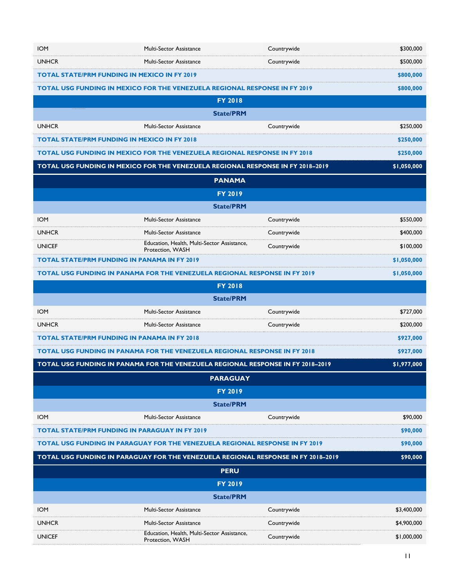| <b>IOM</b>                                                                                     | Multi-Sector Assistance                                                             | Countrywide | \$300,000   |
|------------------------------------------------------------------------------------------------|-------------------------------------------------------------------------------------|-------------|-------------|
| <b>UNHCR</b>                                                                                   | <b>Multi-Sector Assistance</b>                                                      | Countrywide | \$500,000   |
| <b>TOTAL STATE/PRM FUNDING IN MEXICO IN FY 2019</b>                                            |                                                                                     |             | \$800,000   |
|                                                                                                | TOTAL USG FUNDING IN MEXICO FOR THE VENEZUELA REGIONAL RESPONSE IN FY 2019          |             | \$800,000   |
|                                                                                                | <b>FY 2018</b>                                                                      |             |             |
|                                                                                                | <b>State/PRM</b>                                                                    |             |             |
| <b>UNHCR</b>                                                                                   | Multi-Sector Assistance                                                             | Countrywide | \$250,000   |
| <b>TOTAL STATE/PRM FUNDING IN MEXICO IN FY 2018</b>                                            |                                                                                     |             | \$250,000   |
|                                                                                                | <b>TOTAL USG FUNDING IN MEXICO FOR THE VENEZUELA REGIONAL RESPONSE IN FY 2018</b>   |             | \$250,000   |
|                                                                                                | TOTAL USG FUNDING IN MEXICO FOR THE VENEZUELA REGIONAL RESPONSE IN FY 2018-2019     |             | \$1,050,000 |
|                                                                                                | <b>PANAMA</b>                                                                       |             |             |
|                                                                                                | <b>FY 2019</b>                                                                      |             |             |
|                                                                                                | <b>State/PRM</b>                                                                    |             |             |
| <b>IOM</b>                                                                                     | <b>Multi-Sector Assistance</b>                                                      | Countrywide | \$550,000   |
| <b>UNHCR</b>                                                                                   | <b>Multi-Sector Assistance</b>                                                      | Countrywide | \$400,000   |
| <b>UNICEF</b>                                                                                  | Education, Health, Multi-Sector Assistance,<br>Protection, WASH                     | Countrywide | \$100,000   |
| <b>TOTAL STATE/PRM FUNDING IN PANAMA IN FY 2019</b>                                            |                                                                                     |             | \$1,050,000 |
|                                                                                                | <b>TOTAL USG FUNDING IN PANAMA FOR THE VENEZUELA REGIONAL RESPONSE IN FY 2019</b>   |             | \$1,050,000 |
|                                                                                                | <b>FY 2018</b>                                                                      |             |             |
|                                                                                                | <b>State/PRM</b>                                                                    |             |             |
| <b>IOM</b>                                                                                     | Multi-Sector Assistance                                                             | Countrywide | \$727,000   |
| <b>UNHCR</b>                                                                                   | <b>Multi-Sector Assistance</b>                                                      | Countrywide | \$200,000   |
| <b>TOTAL STATE/PRM FUNDING IN PANAMA IN FY 2018</b>                                            |                                                                                     |             | \$927,000   |
|                                                                                                | <b>TOTAL USG FUNDING IN PANAMA FOR THE VENEZUELA REGIONAL RESPONSE IN FY 2018</b>   |             | \$927,000   |
| TOTAL USG FUNDING IN PANAMA FOR THE VENEZUELA REGIONAL RESPONSE IN FY 2018-2019<br>\$1,977,000 |                                                                                     |             |             |
|                                                                                                | <b>PARAGUAY</b>                                                                     |             |             |
|                                                                                                | <b>FY 2019</b>                                                                      |             |             |
|                                                                                                | <b>State/PRM</b>                                                                    |             |             |
| <b>IOM</b>                                                                                     | <b>Multi-Sector Assistance</b>                                                      | Countrywide | \$90,000    |
| <b>TOTAL STATE/PRM FUNDING IN PARAGUAY IN FY 2019</b>                                          |                                                                                     |             | \$90,000    |
|                                                                                                | <b>TOTAL USG FUNDING IN PARAGUAY FOR THE VENEZUELA REGIONAL RESPONSE IN FY 2019</b> |             | \$90,000    |
|                                                                                                | TOTAL USG FUNDING IN PARAGUAY FOR THE VENEZUELA REGIONAL RESPONSE IN FY 2018-2019   |             | \$90,000    |
|                                                                                                | <b>PERU</b>                                                                         |             |             |
|                                                                                                | <b>FY 2019</b>                                                                      |             |             |
|                                                                                                | <b>State/PRM</b>                                                                    |             |             |
| <b>IOM</b>                                                                                     | <b>Multi-Sector Assistance</b>                                                      | Countrywide | \$3,400,000 |
| <b>UNHCR</b>                                                                                   | <b>Multi-Sector Assistance</b>                                                      | Countrywide | \$4,900,000 |
| <b>UNICEF</b>                                                                                  | Education, Health, Multi-Sector Assistance,<br>Protection, WASH                     | Countrywide | \$1,000,000 |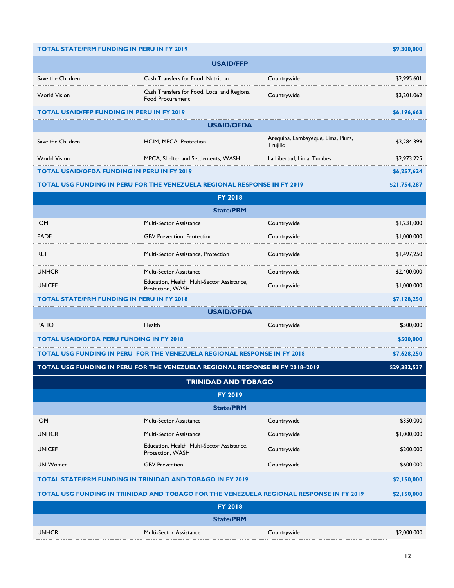| <b>TOTAL STATE/PRM FUNDING IN PERU IN FY 2019</b>                                       |                                                                                         |                                                | \$9,300,000  |
|-----------------------------------------------------------------------------------------|-----------------------------------------------------------------------------------------|------------------------------------------------|--------------|
| <b>USAID/FFP</b>                                                                        |                                                                                         |                                                |              |
| Save the Children                                                                       | Cash Transfers for Food, Nutrition                                                      | Countrywide                                    | \$2,995,601  |
| <b>World Vision</b>                                                                     | Cash Transfers for Food, Local and Regional<br><b>Food Procurement</b>                  | Countrywide                                    | \$3,201,062  |
| <b>TOTAL USAID/FFP FUNDING IN PERU IN FY 2019</b>                                       |                                                                                         |                                                | \$6,196,663  |
|                                                                                         | <b>USAID/OFDA</b>                                                                       |                                                |              |
| Save the Children                                                                       | HCIM, MPCA, Protection                                                                  | Arequipa, Lambayeque, Lima, Piura,<br>Trujillo | \$3,284,399  |
| <b>World Vision</b>                                                                     | MPCA, Shelter and Settlements, WASH                                                     | La Libertad, Lima, Tumbes                      | \$2,973,225  |
| <b>TOTAL USAID/OFDA FUNDING IN PERU IN FY 2019</b>                                      |                                                                                         |                                                | \$6,257,624  |
|                                                                                         | <b>TOTAL USG FUNDING IN PERU FOR THE VENEZUELA REGIONAL RESPONSE IN FY 2019</b>         |                                                | \$21,754,287 |
|                                                                                         | <b>FY 2018</b>                                                                          |                                                |              |
|                                                                                         | <b>State/PRM</b>                                                                        |                                                |              |
| <b>IOM</b>                                                                              | Multi-Sector Assistance                                                                 | Countrywide                                    | \$1,231,000  |
| <b>PADF</b>                                                                             | <b>GBV Prevention, Protection</b>                                                       | Countrywide                                    | \$1,000,000  |
| <b>RET</b>                                                                              | Multi-Sector Assistance, Protection                                                     | Countrywide                                    | \$1,497,250  |
| <b>UNHCR</b>                                                                            | <b>Multi-Sector Assistance</b>                                                          | Countrywide                                    | \$2,400,000  |
| <b>UNICEF</b>                                                                           | Education, Health, Multi-Sector Assistance,<br>Protection, WASH                         | Countrywide                                    | \$1,000,000  |
| <b>TOTAL STATE/PRM FUNDING IN PERU IN FY 2018</b>                                       |                                                                                         |                                                | \$7,128,250  |
|                                                                                         | <b>USAID/OFDA</b>                                                                       |                                                |              |
| <b>PAHO</b>                                                                             | Health                                                                                  | Countrywide                                    | \$500,000    |
| <b>TOTAL USAID/OFDA PERU FUNDING IN FY 2018</b>                                         |                                                                                         |                                                | \$500,000    |
| TOTAL USG FUNDING IN PERU FOR THE VENEZUELA REGIONAL RESPONSE IN FY 2018<br>\$7,628,250 |                                                                                         |                                                |              |
|                                                                                         | TOTAL USG FUNDING IN PERU FOR THE VENEZUELA REGIONAL RESPONSE IN FY 2018-2019           |                                                | \$29,382,537 |
|                                                                                         | <b>TRINIDAD AND TOBAGO</b>                                                              |                                                |              |
| <b>FY 2019</b>                                                                          |                                                                                         |                                                |              |
|                                                                                         | <b>State/PRM</b>                                                                        |                                                |              |
| <b>IOM</b>                                                                              | <b>Multi-Sector Assistance</b>                                                          | Countrywide                                    | \$350,000    |
| <b>UNHCR</b>                                                                            | Multi-Sector Assistance                                                                 | Countrywide                                    | \$1,000,000  |
| <b>UNICEF</b>                                                                           | Education, Health, Multi-Sector Assistance,<br>Protection, WASH                         | Countrywide                                    | \$200,000    |
| <b>UN Women</b>                                                                         | <b>GBV Prevention</b>                                                                   | Countrywide                                    | \$600,000    |
|                                                                                         | <b>TOTAL STATE/PRM FUNDING IN TRINIDAD AND TOBAGO IN FY 2019</b>                        |                                                | \$2,150,000  |
|                                                                                         | TOTAL USG FUNDING IN TRINIDAD AND TOBAGO FOR THE VENEZUELA REGIONAL RESPONSE IN FY 2019 |                                                | \$2,150,000  |
| <b>FY 2018</b>                                                                          |                                                                                         |                                                |              |
| <b>State/PRM</b>                                                                        |                                                                                         |                                                |              |
| <b>UNHCR</b>                                                                            | Multi-Sector Assistance                                                                 | Countrywide                                    | \$2,000,000  |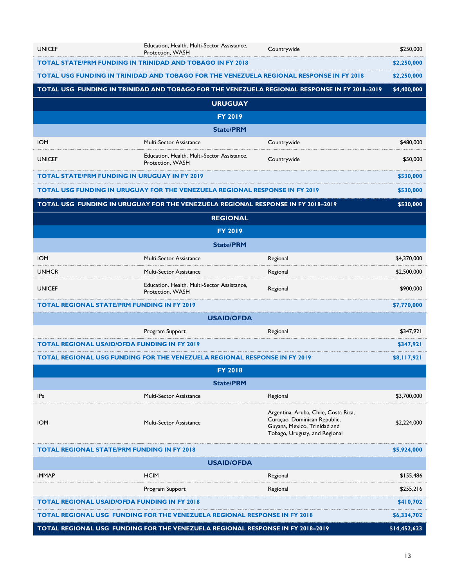| <b>UNICEF</b>                                                                    | Education, Health, Multi-Sector Assistance,<br>Protection, WASH                         | Countrywide                                                                                                                           | \$250,000   |
|----------------------------------------------------------------------------------|-----------------------------------------------------------------------------------------|---------------------------------------------------------------------------------------------------------------------------------------|-------------|
|                                                                                  | TOTAL STATE/PRM FUNDING IN TRINIDAD AND TOBAGO IN FY 2018                               |                                                                                                                                       | \$2,250,000 |
|                                                                                  | TOTAL USG FUNDING IN TRINIDAD AND TOBAGO FOR THE VENEZUELA REGIONAL RESPONSE IN FY 2018 |                                                                                                                                       | \$2,250,000 |
|                                                                                  |                                                                                         | TOTAL USG FUNDING IN TRINIDAD AND TOBAGO FOR THE VENEZUELA REGIONAL RESPONSE IN FY 2018-2019                                          | \$4,400,000 |
|                                                                                  | <b>URUGUAY</b>                                                                          |                                                                                                                                       |             |
|                                                                                  | <b>FY 2019</b>                                                                          |                                                                                                                                       |             |
|                                                                                  | <b>State/PRM</b>                                                                        |                                                                                                                                       |             |
| <b>IOM</b>                                                                       | <b>Multi-Sector Assistance</b>                                                          | Countrywide                                                                                                                           | \$480,000   |
| <b>UNICEF</b>                                                                    | Education, Health, Multi-Sector Assistance,<br>Protection, WASH                         | Countrywide                                                                                                                           | \$50,000    |
|                                                                                  | <b>TOTAL STATE/PRM FUNDING IN URUGUAY IN FY 2019</b>                                    |                                                                                                                                       | \$530,000   |
|                                                                                  | <b>TOTAL USG FUNDING IN URUGUAY FOR THE VENEZUELA REGIONAL RESPONSE IN FY 2019</b>      |                                                                                                                                       | \$530,000   |
|                                                                                  | TOTAL USG FUNDING IN URUGUAY FOR THE VENEZUELA REGIONAL RESPONSE IN FY 2018-2019        |                                                                                                                                       | \$530,000   |
|                                                                                  | <b>REGIONAL</b>                                                                         |                                                                                                                                       |             |
|                                                                                  | <b>FY 2019</b>                                                                          |                                                                                                                                       |             |
|                                                                                  | <b>State/PRM</b>                                                                        |                                                                                                                                       |             |
| <b>IOM</b>                                                                       | <b>Multi-Sector Assistance</b>                                                          | Regional                                                                                                                              | \$4,370,000 |
| <b>UNHCR</b>                                                                     | Multi-Sector Assistance                                                                 | Regional                                                                                                                              | \$2,500,000 |
| <b>UNICEF</b>                                                                    | Education, Health, Multi-Sector Assistance,<br>Protection, WASH                         | Regional                                                                                                                              | \$900,000   |
|                                                                                  | <b>TOTAL REGIONAL STATE/PRM FUNDING IN FY 2019</b>                                      |                                                                                                                                       | \$7,770,000 |
|                                                                                  | <b>USAID/OFDA</b>                                                                       |                                                                                                                                       |             |
|                                                                                  | Program Support                                                                         | Regional                                                                                                                              | \$347,921   |
|                                                                                  | <b>TOTAL REGIONAL USAID/OFDA FUNDING IN FY 2019</b>                                     |                                                                                                                                       | \$347,921   |
|                                                                                  | <b>TOTAL REGIONAL USG FUNDING FOR THE VENEZUELA REGIONAL RESPONSE IN FY 2019</b>        |                                                                                                                                       | \$8,117,921 |
|                                                                                  | <b>FY 2018</b>                                                                          |                                                                                                                                       |             |
|                                                                                  | <b>State/PRM</b>                                                                        |                                                                                                                                       |             |
| <b>IPs</b>                                                                       | <b>Multi-Sector Assistance</b>                                                          | Regional                                                                                                                              | \$3,700,000 |
| <b>IOM</b>                                                                       | <b>Multi-Sector Assistance</b>                                                          | Argentina, Aruba, Chile, Costa Rica,<br>Curaçao, Dominican Republic,<br>Guyana, Mexico, Trinidad and<br>Tobago, Uruguay, and Regional | \$2,224,000 |
|                                                                                  | <b>TOTAL REGIONAL STATE/PRM FUNDING IN FY 2018</b>                                      |                                                                                                                                       | \$5,924,000 |
|                                                                                  | <b>USAID/OFDA</b>                                                                       |                                                                                                                                       |             |
| <b>iMMAP</b>                                                                     | <b>HCIM</b>                                                                             | Regional                                                                                                                              | \$155,486   |
|                                                                                  | Program Support                                                                         | Regional                                                                                                                              | \$255,216   |
| <b>TOTAL REGIONAL USAID/OFDA FUNDING IN FY 2018</b>                              |                                                                                         |                                                                                                                                       | \$410,702   |
| <b>TOTAL REGIONAL USG FUNDING FOR THE VENEZUELA REGIONAL RESPONSE IN FY 2018</b> |                                                                                         | \$6,334,702                                                                                                                           |             |
| TOTAL REGIONAL USG FUNDING FOR THE VENEZUELA REGIONAL RESPONSE IN FY 2018-2019   |                                                                                         | \$14,452,623                                                                                                                          |             |